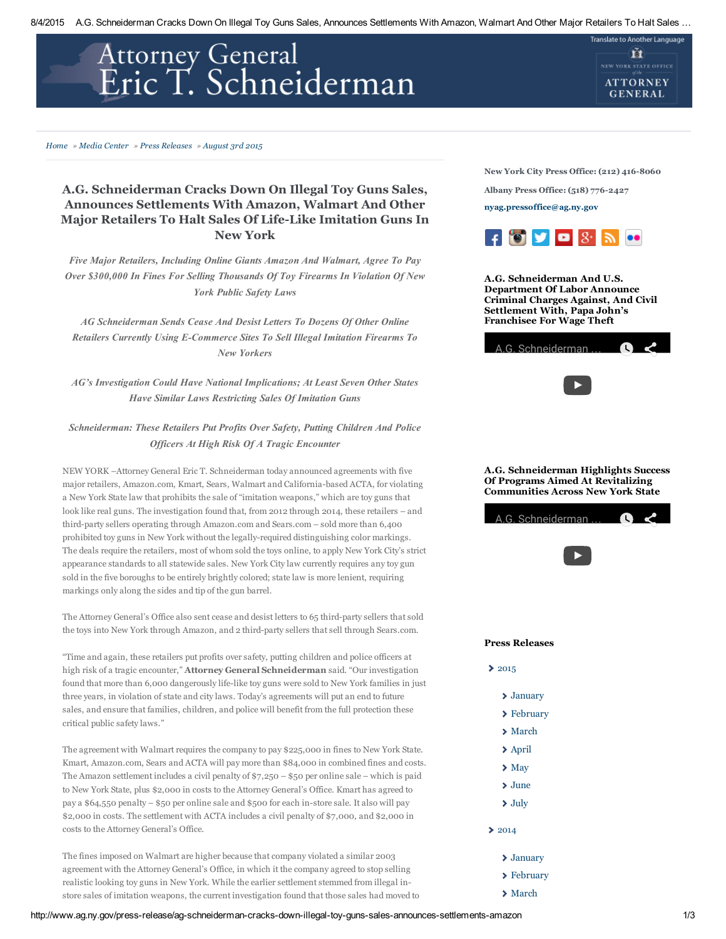# Attorney General<br>Eric T. Schneiderman

### [Home](http://www.ag.ny.gov/) » Media [Center](http://www.ag.ny.gov/press-releases) » Press [Releases](http://www.ag.ny.gov/press-releases) » [August](http://www.ag.ny.gov/press-release/ag-schneiderman-cracks-down-illegal-toy-guns-sales-announces-settlements-amazon) 3rd 2015

# A.G. Schneiderman Cracks Down On Illegal Toy Guns Sales, Announces Settlements With Amazon, Walmart And Other Major Retailers To Halt Sales Of Life-Like Imitation Guns In New York

Five Major Retailers, Including Online Giants Amazon And Walmart, Agree To Pay Over \$300,000 In Fines For Selling Thousands Of Toy Firearms In Violation Of New York Public Safety Laws

AG Schneiderman Sends Cease And Desist Letters To Dozens Of Other Online Retailers Currently Using E-Commerce Sites To Sell Illegal Imitation Firearms To New Yorkers

AG's Investigation Could Have National Implications; At Least Seven Other States Have Similar Laws Restricting Sales Of Imitation Guns

## Schneiderman: These Retailers Put Profits Over Safety, Putting Children And Police Officers At High Risk Of A Tragic Encounter

NEW YORK –Attorney General Eric T. Schneiderman today announced agreements with five major retailers, Amazon.com, Kmart, Sears, Walmart and Californiabased ACTA, for violating a New York State law that prohibits the sale of "imitation weapons," which are toy guns that look like real guns. The investigation found that, from 2012 through 2014, these retailers – and third-party sellers operating through Amazon.com and Sears.com – sold more than 6,400 prohibited toy guns in New York without the legally-required distinguishing color markings. The deals require the retailers, most of whom sold the toys online, to apply New York City's strict appearance standards to all statewide sales. New York City law currently requires any toy gun sold in the five boroughs to be entirely brightly colored; state law is more lenient, requiring markings only along the sides and tip of the gun barrel.

The Attorney General's Office also sent cease and desist letters to 65 third-party sellers that sold the toys into New York through Amazon, and 2 third-party sellers that sell through Sears.com.

"Time and again, these retailers put profits over safety, putting children and police officers at high risk of a tragic encounter," Attorney General Schneiderman said. "Our investigation found that more than 6,000 dangerously life-like toy guns were sold to New York families in just three years, in violation of state and city laws. Today's agreements will put an end to future sales, and ensure that families, children, and police will benefit from the full protection these critical public safety laws."

The agreement with Walmart requires the company to pay \$225,000 in fines to New York State. Kmart, Amazon.com, Sears and ACTA will pay more than \$84,000 in combined fines and costs. The Amazon settlement includes a civil penalty of  $\frac{2}{37,250}$  – \$50 per online sale – which is paid to New York State, plus \$2,000 in costs to the Attorney General's Office. Kmart has agreed to pay a \$64,550 penalty – \$50 per online sale and \$500 for each in-store sale. It also will pay \$2,000 in costs. The settlement with ACTA includes a civil penalty of \$7,000, and \$2,000 in costs to the Attorney General's Office.

The fines imposed on Walmart are higher because that company violated a similar 2003 agreement with the Attorney General's Office, in which it the company agreed to stop selling realistic looking toy guns in New York. While the earlier settlement stemmed from illegal instore sales of imitation weapons, the current investigation found that those sales had moved to New York City Press Office: (212) 416-8060

**Translate to Another Language** 

ĚТ NEW YORK STATE OFFICE **ATTORNEY GENERAL** 

Albany Press Office: (518) 776-2427

[nyag.pressoffice@ag.ny.gov](mailto:nyag.pressoffice@ag.ny.gov)



A.G. Schneiderman And U.S. Department Of Labor Announce Criminal Charges Against, And Civil Settlement With, Papa John's Franchisee For Wage Theft



### A.G. Schneiderman Highlights Success Of Programs Aimed At Revitalizing Communities Across New York State

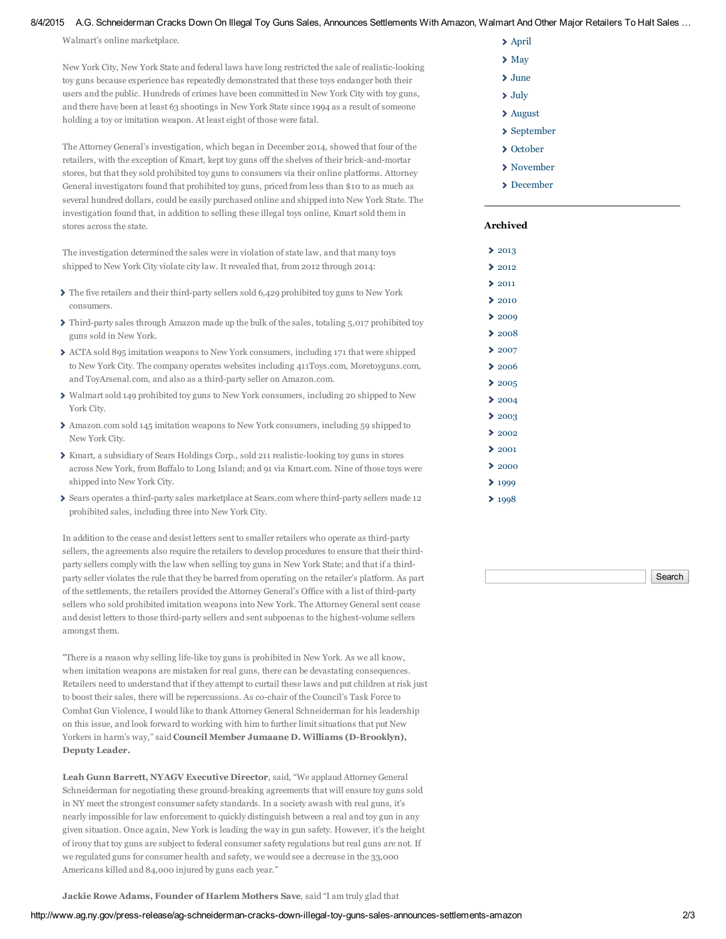### 8/4/2015 A.G. Schneiderman Cracks Down On Illegal Toy Guns Sales, Announces Settlements With Amazon, Walmart And Other Major Retailers To Halt Sales ...

Walmart's online marketplace.

New York City, New York State and federal laws have long restricted the sale of realistic-looking toy guns because experience has repeatedly demonstrated that these toys endanger both their users and the public. Hundreds of crimes have been committed in New York City with toy guns, and there have been at least 63 shootings in New York State since 1994 as a result of someone holding a toy or imitation weapon. At least eight of those were fatal.

The Attorney General's investigation, which began in December 2014, showed that four of the retailers, with the exception of Kmart, kept toy guns off the shelves of their brick-and-mortar stores, but that they sold prohibited toy guns to consumers via their online platforms. Attorney General investigators found that prohibited toy guns, priced from less than \$10 to as much as several hundred dollars, could be easily purchased online and shipped into New York State. The investigation found that, in addition to selling these illegal toys online, Kmart sold them in stores across the state.

The investigation determined the sales were in violation of state law, and that many toys shipped to New York City violate city law. It revealed that, from 2012 through 2014:

- $\blacktriangleright$  The five retailers and their third-party sellers sold 6,429 prohibited toy guns to New York consumers.
- $\triangleright$  Third-party sales through Amazon made up the bulk of the sales, totaling 5,017 prohibited toy guns sold in New York.
- ACTA sold 895 imitation weapons to New York consumers, including 171 that were shipped to New York City. The company operates websites including 411Toys.com, Moretoyguns.com, and ToyArsenal.com, and also as a third-party seller on Amazon.com.
- Walmart sold 149 prohibited toy guns to New York consumers, including 20 shipped to New York City.
- Amazon.com sold 145 imitation weapons to New York consumers, including 59 shipped to New York City.
- $\triangleright$  Kmart, a subsidiary of Sears Holdings Corp., sold 211 realistic-looking toy guns in stores across New York, from Buffalo to Long Island; and 91 via Kmart.com. Nine of those toys were shipped into New York City.
- Sears operates a third-party sales marketplace at Sears.com where third-party sellers made 12 prohibited sales, including three into New York City.

In addition to the cease and desist letters sent to smaller retailers who operate as third-party sellers, the agreements also require the retailers to develop procedures to ensure that their thirdparty sellers comply with the law when selling toy guns in New York State; and that if a thirdparty seller violates the rule that they be barred from operating on the retailer's platform. As part of the settlements, the retailers provided the Attorney General's Office with a list of third-party sellers who sold prohibited imitation weapons into New York. The Attorney General sent cease and desist letters to those third-party sellers and sent subpoenas to the highest-volume sellers amongst them.

"There is a reason why selling life-like toy guns is prohibited in New York. As we all know, when imitation weapons are mistaken for real guns, there can be devastating consequences. Retailers need to understand that if they attempt to curtail these laws and put children at risk just to boost their sales, there will be repercussions. As co-chair of the Council's Task Force to Combat Gun Violence, I would like to thank Attorney General Schneiderman for his leadership on this issue, and look forward to working with him to further limit situations that put New Yorkers in harm's way," said Council Member Jumaane D. Williams (D-Brooklyn), Deputy Leader.

Leah Gunn Barrett, NYAGV Executive Director, said, "We applaud Attorney General Schneiderman for negotiating these ground-breaking agreements that will ensure toy guns sold in NY meet the strongest consumer safety standards. In a society awash with real guns, it's nearly impossible for law enforcement to quickly distinguish between a real and toy gun in any given situation. Once again, New York is leading the way in gun safety. However, it's the height of irony that toy guns are subject to federal consumer safety regulations but real guns are not. If we regulated guns for consumer health and safety, we would see a decrease in the 33,000 Americans killed and 84,000 injured by guns each year."

- [April](http://www.ag.ny.gov/press-releases-for-month/201404)
- $\sum$  [May](http://www.ag.ny.gov/press-releases-for-month/201405)
- [June](http://www.ag.ny.gov/press-releases-for-month/201406)
- [July](http://www.ag.ny.gov/press-releases-for-month/201407)
- [August](http://www.ag.ny.gov/press-releases-for-month/201408)
- > [September](http://www.ag.ny.gov/press-releases-for-month/201409)
- > [October](http://www.ag.ny.gov/press-releases-for-month/201410)
- [November](http://www.ag.ny.gov/press-releases-for-month/201411)
- [December](http://www.ag.ny.gov/press-releases-for-month/201412)

### Archived

Š.  $\overline{\phantom{a}}$ ۵ s Ś

ь

s

۵ ś ٠

ś

| 2013 |
|------|
| 2012 |
| 2011 |
| 2010 |
| 2009 |
| 2008 |
| 2007 |
| 2006 |
| 2005 |
| 2004 |
| 2003 |
| 2002 |
| 2001 |
| 2000 |
| 1999 |
| 1998 |

**Search** 

Jackie Rowe Adams, Founder of Harlem Mothers Save, said "I am truly glad that